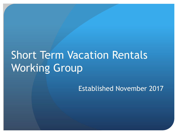# Short Term Vacation Rentals Working Group

Established November 2017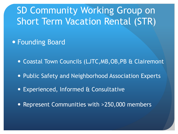## SD Community Working Group on Short Term Vacation Rental (STR)

- **Founding Board** 
	- **Coastal Town Councils (LJTC, MB, OB, PB & Clairemont**
	- Public Safety and Neighborhood Association Experts
	- Experienced, Informed & Consultative
	- Represent Communities with >250,000 members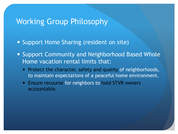#### Working Group Philosophy

- Support Home Sharing (resident on site)
- Support Community and Neighborhood Based Whole Home vacation rental limits that:
	- Protect the character, safety and quality of neighborhoods, to maintain expectations of a peaceful home environment.
	- Ensure recourse for neighbors to hold STVR owners accountable.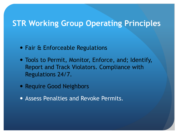#### **STR Working Group Operating Principles**

- Fair & Enforceable Regulations
- Tools to Permit, Monitor, Enforce, and; Identify, Report and Track Violators. Compliance with Regulations 24/7.
- Require Good Neighbors
- Assess Penalties and Revoke Permits.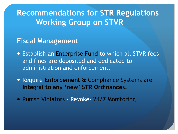**Recommendations for STR Regulations Working Group on STVR**

#### **Fiscal Management**

- Establish an Enterprise Fund to which all STVR fees and fines are deposited and dedicated to administration and enforcement.
- Require **Enforcement &** Compliance Systems are **Integral to any 'new' STR Ordinances.**
- Punish Violators Revoke- 24/7 Monitoring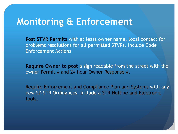### **Monitoring & Enforcement**

**Post STVR Permits** with at least owner name, local contact for problems resolutions for all permitted STVRs. Include Code Enforcement Actions

**Require Owner to post** a sign readable from the street with the owner Permit # and 24 hour Owner Response #.

Require Enforcement and Compliance Plan and Systems with any new SD STR Ordinances. Include a STR Hotline and Electronic tools.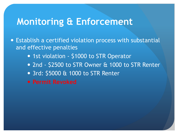## **Monitoring & Enforcement**

- Establish a certified violation process with substantial and effective penalties
	- 1st violation \$1000 to STR Operator
	- 2nd \$2500 to STR Owner & 1000 to STR Renter
	- 3rd: \$5000 & 1000 to STR Renter
	- **Permit Revoked**